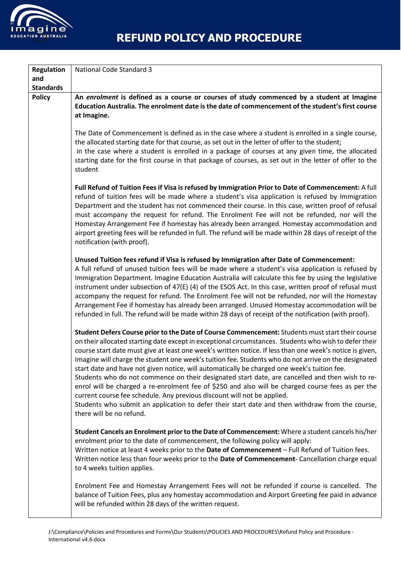

| <b>Regulation</b><br>and | <b>National Code Standard 3</b>                                                                                                                                                                                                                                                                                                                                                                                                                                                                                                                                                                                                                                                                                                                                                                                                                                                                                                                 |
|--------------------------|-------------------------------------------------------------------------------------------------------------------------------------------------------------------------------------------------------------------------------------------------------------------------------------------------------------------------------------------------------------------------------------------------------------------------------------------------------------------------------------------------------------------------------------------------------------------------------------------------------------------------------------------------------------------------------------------------------------------------------------------------------------------------------------------------------------------------------------------------------------------------------------------------------------------------------------------------|
| <b>Standards</b>         |                                                                                                                                                                                                                                                                                                                                                                                                                                                                                                                                                                                                                                                                                                                                                                                                                                                                                                                                                 |
| <b>Policy</b>            | An enrolment is defined as a course or courses of study commenced by a student at Imagine<br>Education Australia. The enrolment date is the date of commencement of the student's first course<br>at Imagine.                                                                                                                                                                                                                                                                                                                                                                                                                                                                                                                                                                                                                                                                                                                                   |
|                          | The Date of Commencement is defined as in the case where a student is enrolled in a single course,<br>the allocated starting date for that course, as set out in the letter of offer to the student;<br>in the case where a student is enrolled in a package of courses at any given time, the allocated<br>starting date for the first course in that package of courses, as set out in the letter of offer to the<br>student                                                                                                                                                                                                                                                                                                                                                                                                                                                                                                                  |
|                          | Full Refund of Tuition Fees if Visa is refused by Immigration Prior to Date of Commencement: A full<br>refund of tuition fees will be made where a student's visa application is refused by Immigration<br>Department and the student has not commenced their course. In this case, written proof of refusal<br>must accompany the request for refund. The Enrolment Fee will not be refunded, nor will the<br>Homestay Arrangement Fee if homestay has already been arranged. Homestay accommodation and<br>airport greeting fees will be refunded in full. The refund will be made within 28 days of receipt of the<br>notification (with proof).                                                                                                                                                                                                                                                                                             |
|                          | Unused Tuition fees refund if Visa is refused by Immigration after Date of Commencement:<br>A full refund of unused tuition fees will be made where a student's visa application is refused by<br>Immigration Department. Imagine Education Australia will calculate this fee by using the legislative<br>instrument under subsection of 47(E) (4) of the ESOS Act. In this case, written proof of refusal must<br>accompany the request for refund. The Enrolment Fee will not be refunded, nor will the Homestay<br>Arrangement Fee if homestay has already been arranged. Unused Homestay accommodation will be<br>refunded in full. The refund will be made within 28 days of receipt of the notification (with proof).                                                                                                                                                                                                                     |
|                          | Student Defers Course prior to the Date of Course Commencement: Students must start their course<br>on their allocated starting date except in exceptional circumstances. Students who wish to defer their<br>course start date must give at least one week's written notice. If less than one week's notice is given,<br>Imagine will charge the student one week's tuition fee. Students who do not arrive on the designated<br>start date and have not given notice, will automatically be charged one week's tuition fee.<br>Students who do not commence on their designated start date, are cancelled and then wish to re-<br>enrol will be charged a re-enrolment fee of \$250 and also will be charged course fees as per the<br>current course fee schedule. Any previous discount will not be applied.<br>Students who submit an application to defer their start date and then withdraw from the course,<br>there will be no refund. |
|                          | Student Cancels an Enrolment prior to the Date of Commencement: Where a student cancels his/her<br>enrolment prior to the date of commencement, the following policy will apply:<br>Written notice at least 4 weeks prior to the Date of Commencement - Full Refund of Tuition fees.<br>Written notice less than four weeks prior to the Date of Commencement- Cancellation charge equal<br>to 4 weeks tuition applies.                                                                                                                                                                                                                                                                                                                                                                                                                                                                                                                         |
|                          | Enrolment Fee and Homestay Arrangement Fees will not be refunded if course is cancelled. The<br>balance of Tuition Fees, plus any homestay accommodation and Airport Greeting fee paid in advance<br>will be refunded within 28 days of the written request.                                                                                                                                                                                                                                                                                                                                                                                                                                                                                                                                                                                                                                                                                    |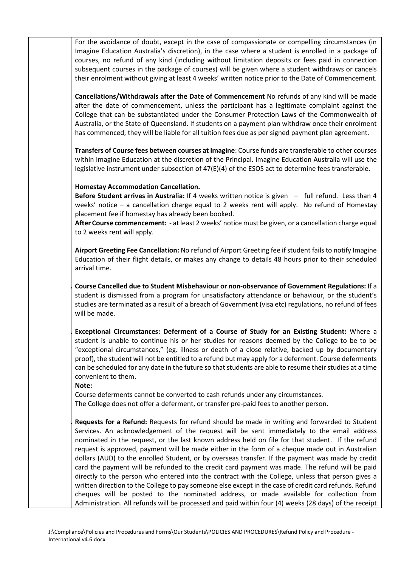For the avoidance of doubt, except in the case of compassionate or compelling circumstances (in Imagine Education Australia's discretion), in the case where a student is enrolled in a package of courses, no refund of any kind (including without limitation deposits or fees paid in connection subsequent courses in the package of courses) will be given where a student withdraws or cancels their enrolment without giving at least 4 weeks' written notice prior to the Date of Commencement.

**Cancellations/Withdrawals after the Date of Commencement** No refunds of any kind will be made after the date of commencement, unless the participant has a legitimate complaint against the College that can be substantiated under the Consumer Protection Laws of the Commonwealth of Australia, or the State of Queensland. If students on a payment plan withdraw once their enrolment has commenced, they will be liable for all tuition fees due as per signed payment plan agreement.

**Transfers of Course fees between courses at Imagine**: Course funds are transferable to other courses within Imagine Education at the discretion of the Principal. Imagine Education Australia will use the legislative instrument under subsection of 47(E)(4) of the ESOS act to determine fees transferable.

## **Homestay Accommodation Cancellation.**

**Before Student arrives in Australia:** If 4 weeks written notice is given – full refund. Less than 4 weeks' notice – a cancellation charge equal to 2 weeks rent will apply. No refund of Homestay placement fee if homestay has already been booked.

**After Course commencement:** - at least 2 weeks' notice must be given, or a cancellation charge equal to 2 weeks rent will apply.

**Airport Greeting Fee Cancellation:** No refund of Airport Greeting fee if student fails to notify Imagine Education of their flight details, or makes any change to details 48 hours prior to their scheduled arrival time.

**. Course Cancelled due to Student Misbehaviour or non-observance of Government Regulations:** If a student is dismissed from a program for unsatisfactory attendance or behaviour, or the student's studies are terminated as a result of a breach of Government (visa etc) regulations, no refund of fees will be made.

**. Exceptional Circumstances: Deferment of a Course of Study for an Existing Student:** Where a student is unable to continue his or her studies for reasons deemed by the College to be to be "exceptional circumstances," (eg. illness or death of a close relative, backed up by documentary proof), the student will not be entitled to a refund but may apply for a deferment. Course deferments can be scheduled for any date in the future so that students are able to resume their studies at a time convenient to them.

## **Note:**

Course deferments cannot be converted to cash refunds under any circumstances. The College does not offer a deferment, or transfer pre-paid fees to another person.

**. Requests for a Refund:** Requests for refund should be made in writing and forwarded to Student Services. An acknowledgement of the request will be sent immediately to the email address nominated in the request, or the last known address held on file for that student. If the refund request is approved, payment will be made either in the form of a cheque made out in Australian dollars (AUD) to the enrolled Student, or by overseas transfer. If the payment was made by credit card the payment will be refunded to the credit card payment was made. The refund will be paid directly to the person who entered into the contract with the College, unless that person gives a written direction to the College to pay someone else except in the case of credit card refunds. Refund cheques will be posted to the nominated address, or made available for collection from Administration. All refunds will be processed and paid within four (4) weeks (28 days) of the receipt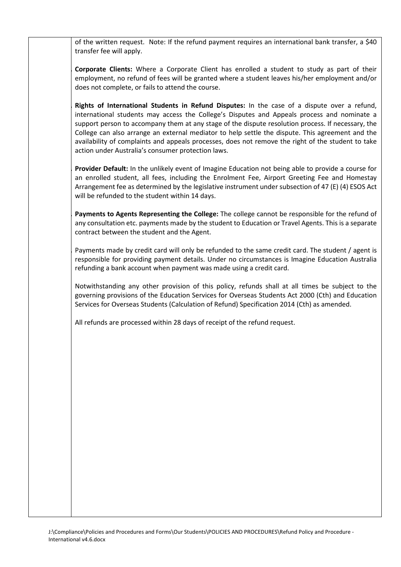of the written request. Note: If the refund payment requires an international bank transfer, a \$40 transfer fee will apply.

**. Corporate Clients:** Where a Corporate Client has enrolled a student to study as part of their employment, no refund of fees will be granted where a student leaves his/her employment and/or does not complete, or fails to attend the course.

**. Rights of International Students in Refund Disputes:** In the case of a dispute over a refund, international students may access the College's Disputes and Appeals process and nominate a support person to accompany them at any stage of the dispute resolution process. If necessary, the College can also arrange an external mediator to help settle the dispute. This agreement and the availability of complaints and appeals processes, does not remove the right of the student to take action under Australia's consumer protection laws.

**. Provider Default:** In the unlikely event of Imagine Education not being able to provide a course for an enrolled student, all fees, including the Enrolment Fee, Airport Greeting Fee and Homestay Arrangement fee as determined by the legislative instrument under subsection of 47 (E) (4) ESOS Act will be refunded to the student within 14 days.

**. Payments to Agents Representing the College:** The college cannot be responsible for the refund of any consultation etc. payments made by the student to Education or Travel Agents. This is a separate contract between the student and the Agent.

**.** Payments made by credit card will only be refunded to the same credit card. The student / agent is responsible for providing payment details. Under no circumstances is Imagine Education Australia refunding a bank account when payment was made using a credit card.

Notwithstanding any other provision of this policy, refunds shall at all times be subject to the governing provisions of the Education Services for Overseas Students Act 2000 (Cth) and Education Services for Overseas Students (Calculation of Refund) Specification 2014 (Cth) as amended.

All refunds are processed within 28 days of receipt of the refund request.